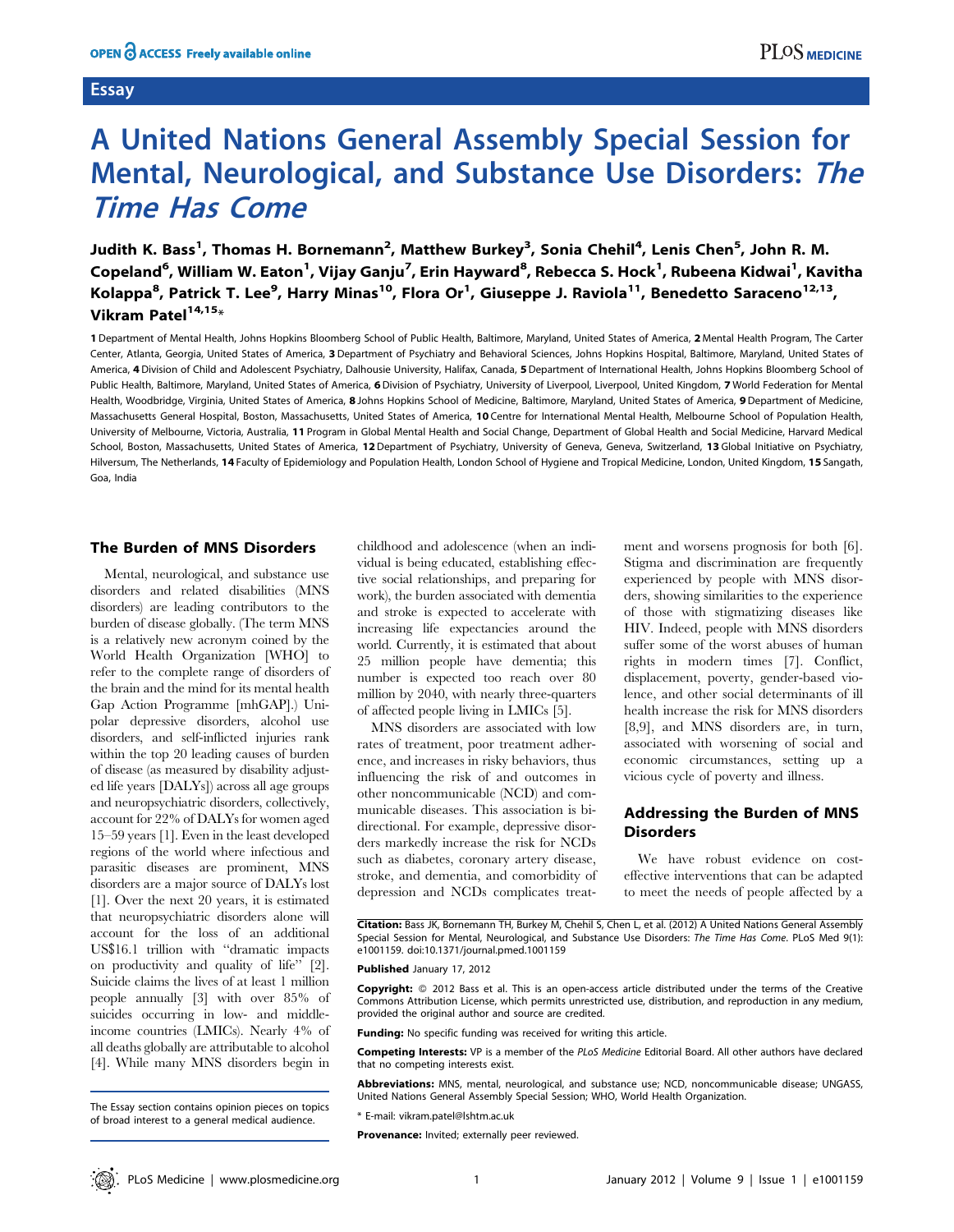# **Essay**

# A United Nations General Assembly Special Session for Mental, Neurological, and Substance Use Disorders: The Time Has Come

Judith K. Bass<sup>1</sup>, Thomas H. Bornemann<sup>2</sup>, Matthew Burkey<sup>3</sup>, Sonia Chehil<sup>4</sup>, Lenis Chen<sup>5</sup>, John R. M. Copeland<sup>6</sup>, William W. Eaton<sup>1</sup>, Vijay Ganju<sup>7</sup>, Erin Hayward<sup>8</sup>, Rebecca S. Hock<sup>1</sup>, Rubeena Kidwai<sup>1</sup>, Kavitha Kolappa<sup>8</sup>, Patrick T. Lee<sup>9</sup>, Harry Minas<sup>10</sup>, Flora Or<sup>1</sup>, Giuseppe J. Raviola<sup>11</sup>, Benedetto Saraceno<sup>12,13</sup>, Vikram Patel $14,15*$ 

1 Department of Mental Health, Johns Hopkins Bloomberg School of Public Health, Baltimore, Maryland, United States of America, 2 Mental Health Program, The Carter Center, Atlanta, Georgia, United States of America, 3 Department of Psychiatry and Behavioral Sciences, Johns Hopkins Hospital, Baltimore, Maryland, United States of America, 4 Division of Child and Adolescent Psychiatry, Dalhousie University, Halifax, Canada, 5 Department of International Health, Johns Hopkins Bloomberg School of Public Health, Baltimore, Maryland, United States of America, 6 Division of Psychiatry, University of Liverpool, Liverpool, United Kingdom, 7 World Federation for Mental Health, Woodbridge, Virginia, United States of America, 8 Johns Hopkins School of Medicine, Baltimore, Maryland, United States of America, 9 Department of Medicine, Massachusetts General Hospital, Boston, Massachusetts, United States of America, 10 Centre for International Mental Health, Melbourne School of Population Health, University of Melbourne, Victoria, Australia, 11 Program in Global Mental Health and Social Change, Department of Global Health and Social Medicine, Harvard Medical School, Boston, Massachusetts, United States of America, 12 Department of Psychiatry, University of Geneva, Geneva, Switzerland, 13 Global Initiative on Psychiatry, Hilversum, The Netherlands, 14 Faculty of Epidemiology and Population Health, London School of Hygiene and Tropical Medicine, London, United Kingdom, 15 Sangath, Goa, India

## The Burden of MNS Disorders

Mental, neurological, and substance use disorders and related disabilities (MNS disorders) are leading contributors to the burden of disease globally. (The term MNS is a relatively new acronym coined by the World Health Organization [WHO] to refer to the complete range of disorders of the brain and the mind for its mental health Gap Action Programme [mhGAP].) Unipolar depressive disorders, alcohol use disorders, and self-inflicted injuries rank within the top 20 leading causes of burden of disease (as measured by disability adjusted life years [DALYs]) across all age groups and neuropsychiatric disorders, collectively, account for 22% of DALYs for women aged 15–59 years [1]. Even in the least developed regions of the world where infectious and parasitic diseases are prominent, MNS disorders are a major source of DALYs lost [1]. Over the next 20 years, it is estimated that neuropsychiatric disorders alone will account for the loss of an additional US\$16.1 trillion with ''dramatic impacts on productivity and quality of life'' [2]. Suicide claims the lives of at least 1 million people annually [3] with over 85% of suicides occurring in low- and middleincome countries (LMICs). Nearly 4% of all deaths globally are attributable to alcohol [4]. While many MNS disorders begin in

MNS disorders are associated with low rates of treatment, poor treatment adherence, and increases in risky behaviors, thus influencing the risk of and outcomes in other noncommunicable (NCD) and communicable diseases. This association is bidirectional. For example, depressive disorders markedly increase the risk for NCDs such as diabetes, coronary artery disease, stroke, and dementia, and comorbidity of depression and NCDs complicates treatment and worsens prognosis for both [6]. Stigma and discrimination are frequently experienced by people with MNS disorders, showing similarities to the experience of those with stigmatizing diseases like HIV. Indeed, people with MNS disorders suffer some of the worst abuses of human rights in modern times [7]. Conflict, displacement, poverty, gender-based violence, and other social determinants of ill health increase the risk for MNS disorders [8,9], and MNS disorders are, in turn, associated with worsening of social and economic circumstances, setting up a vicious cycle of poverty and illness.

# Addressing the Burden of MNS **Disorders**

We have robust evidence on costeffective interventions that can be adapted to meet the needs of people affected by a

Citation: Bass JK, Bornemann TH, Burkey M, Chehil S, Chen L, et al. (2012) A United Nations General Assembly Special Session for Mental, Neurological, and Substance Use Disorders: The Time Has Come. PLoS Med 9(1): e1001159. doi:10.1371/journal.pmed.1001159

#### Published January 17, 2012

Copyright: © 2012 Bass et al. This is an open-access article distributed under the terms of the Creative Commons Attribution License, which permits unrestricted use, distribution, and reproduction in any medium, provided the original author and source are credited.

Funding: No specific funding was received for writing this article.

Competing Interests: VP is a member of the PLoS Medicine Editorial Board. All other authors have declared that no competing interests exist.

Abbreviations: MNS, mental, neurological, and substance use; NCD, noncommunicable disease; UNGASS, United Nations General Assembly Special Session; WHO, World Health Organization.

\* E-mail: vikram.patel@lshtm.ac.uk

Provenance: Invited; externally peer reviewed.

The Essay section contains opinion pieces on topics of broad interest to a general medical audience.

childhood and adolescence (when an individual is being educated, establishing effective social relationships, and preparing for work), the burden associated with dementia and stroke is expected to accelerate with increasing life expectancies around the world. Currently, it is estimated that about 25 million people have dementia; this number is expected too reach over 80 million by 2040, with nearly three-quarters of affected people living in LMICs [5].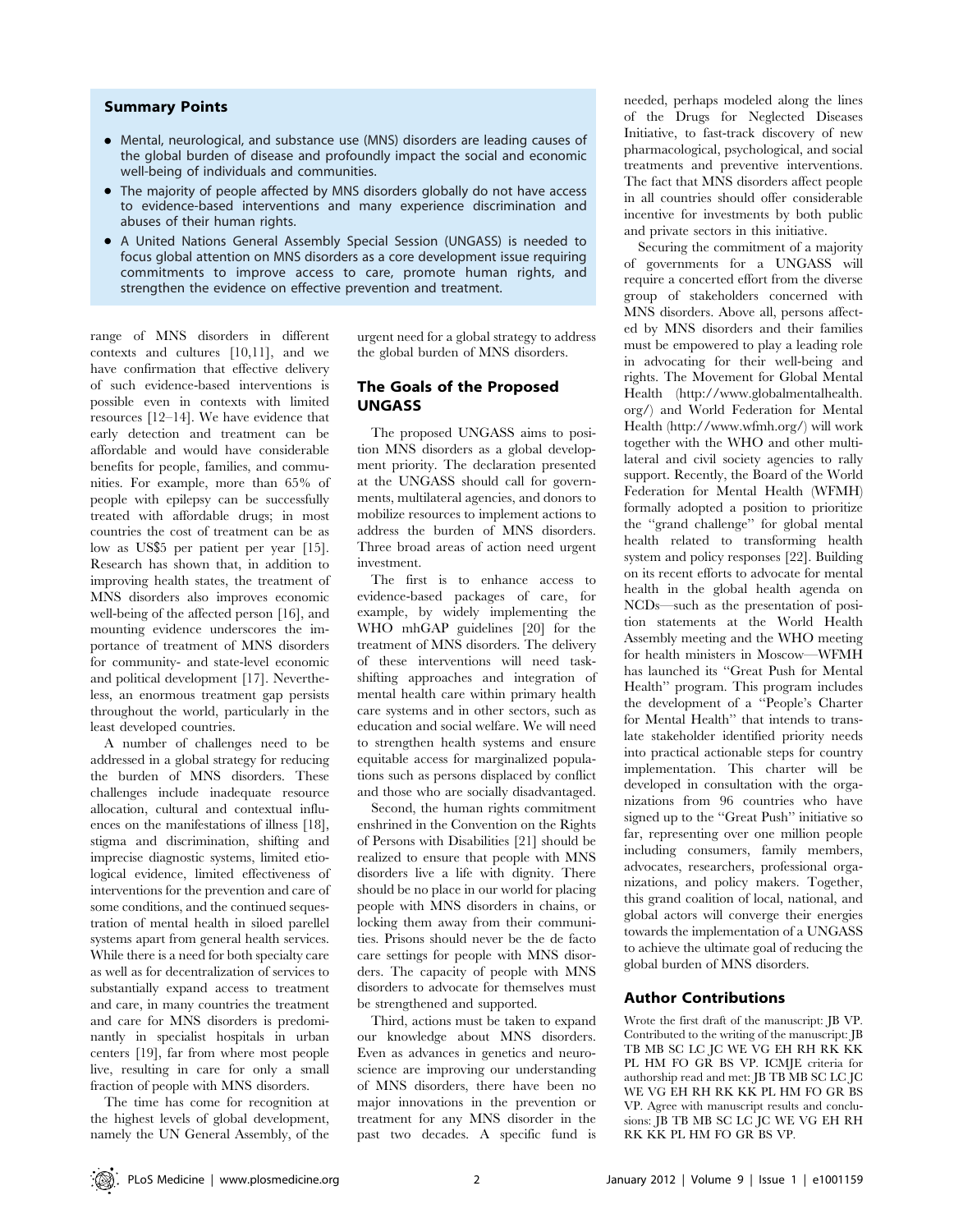# Summary Points

- Mental, neurological, and substance use (MNS) disorders are leading causes of the global burden of disease and profoundly impact the social and economic well-being of individuals and communities.
- The majority of people affected by MNS disorders globally do not have access to evidence-based interventions and many experience discrimination and abuses of their human rights.
- A United Nations General Assembly Special Session (UNGASS) is needed to focus global attention on MNS disorders as a core development issue requiring commitments to improve access to care, promote human rights, and strengthen the evidence on effective prevention and treatment.

range of MNS disorders in different contexts and cultures [10,11], and we have confirmation that effective delivery of such evidence-based interventions is possible even in contexts with limited resources [12–14]. We have evidence that early detection and treatment can be affordable and would have considerable benefits for people, families, and communities. For example, more than 65% of people with epilepsy can be successfully treated with affordable drugs; in most countries the cost of treatment can be as low as US\$5 per patient per year [15]. Research has shown that, in addition to improving health states, the treatment of MNS disorders also improves economic well-being of the affected person [16], and mounting evidence underscores the importance of treatment of MNS disorders for community- and state-level economic and political development [17]. Nevertheless, an enormous treatment gap persists throughout the world, particularly in the least developed countries.

A number of challenges need to be addressed in a global strategy for reducing the burden of MNS disorders. These challenges include inadequate resource allocation, cultural and contextual influences on the manifestations of illness [18], stigma and discrimination, shifting and imprecise diagnostic systems, limited etiological evidence, limited effectiveness of interventions for the prevention and care of some conditions, and the continued sequestration of mental health in siloed parellel systems apart from general health services. While there is a need for both specialty care as well as for decentralization of services to substantially expand access to treatment and care, in many countries the treatment and care for MNS disorders is predominantly in specialist hospitals in urban centers [19], far from where most people live, resulting in care for only a small fraction of people with MNS disorders.

The time has come for recognition at the highest levels of global development, namely the UN General Assembly, of the urgent need for a global strategy to address the global burden of MNS disorders.

## The Goals of the Proposed UNGASS

The proposed UNGASS aims to position MNS disorders as a global development priority. The declaration presented at the UNGASS should call for governments, multilateral agencies, and donors to mobilize resources to implement actions to address the burden of MNS disorders. Three broad areas of action need urgent investment.

The first is to enhance access to evidence-based packages of care, for example, by widely implementing the WHO mhGAP guidelines [20] for the treatment of MNS disorders. The delivery of these interventions will need taskshifting approaches and integration of mental health care within primary health care systems and in other sectors, such as education and social welfare. We will need to strengthen health systems and ensure equitable access for marginalized populations such as persons displaced by conflict and those who are socially disadvantaged.

Second, the human rights commitment enshrined in the Convention on the Rights of Persons with Disabilities [21] should be realized to ensure that people with MNS disorders live a life with dignity. There should be no place in our world for placing people with MNS disorders in chains, or locking them away from their communities. Prisons should never be the de facto care settings for people with MNS disorders. The capacity of people with MNS disorders to advocate for themselves must be strengthened and supported.

Third, actions must be taken to expand our knowledge about MNS disorders. Even as advances in genetics and neuroscience are improving our understanding of MNS disorders, there have been no major innovations in the prevention or treatment for any MNS disorder in the past two decades. A specific fund is needed, perhaps modeled along the lines of the Drugs for Neglected Diseases Initiative, to fast-track discovery of new pharmacological, psychological, and social treatments and preventive interventions. The fact that MNS disorders affect people in all countries should offer considerable incentive for investments by both public and private sectors in this initiative.

Securing the commitment of a majority of governments for a UNGASS will require a concerted effort from the diverse group of stakeholders concerned with MNS disorders. Above all, persons affected by MNS disorders and their families must be empowered to play a leading role in advocating for their well-being and rights. The Movement for Global Mental Health (http://www.globalmentalhealth. org/) and World Federation for Mental Health (http://www.wfmh.org/) will work together with the WHO and other multilateral and civil society agencies to rally support. Recently, the Board of the World Federation for Mental Health (WFMH) formally adopted a position to prioritize the ''grand challenge'' for global mental health related to transforming health system and policy responses [22]. Building on its recent efforts to advocate for mental health in the global health agenda on NCDs—such as the presentation of position statements at the World Health Assembly meeting and the WHO meeting for health ministers in Moscow—WFMH has launched its ''Great Push for Mental Health'' program. This program includes the development of a ''People's Charter for Mental Health'' that intends to translate stakeholder identified priority needs into practical actionable steps for country implementation. This charter will be developed in consultation with the organizations from 96 countries who have signed up to the ''Great Push'' initiative so far, representing over one million people including consumers, family members, advocates, researchers, professional organizations, and policy makers. Together, this grand coalition of local, national, and global actors will converge their energies towards the implementation of a UNGASS to achieve the ultimate goal of reducing the global burden of MNS disorders.

# Author Contributions

Wrote the first draft of the manuscript: JB VP. Contributed to the writing of the manuscript: JB TB MB SC LC JC WE VG EH RH RK KK PL HM FO GR BS VP. ICMJE criteria for authorship read and met: JB TB MB SC LC JC WE VG EH RH RK KK PL HM FO GR BS VP. Agree with manuscript results and conclusions: JB TB MB SC LC JC WE VG EH RH RK KK PL HM FO GR BS VP.